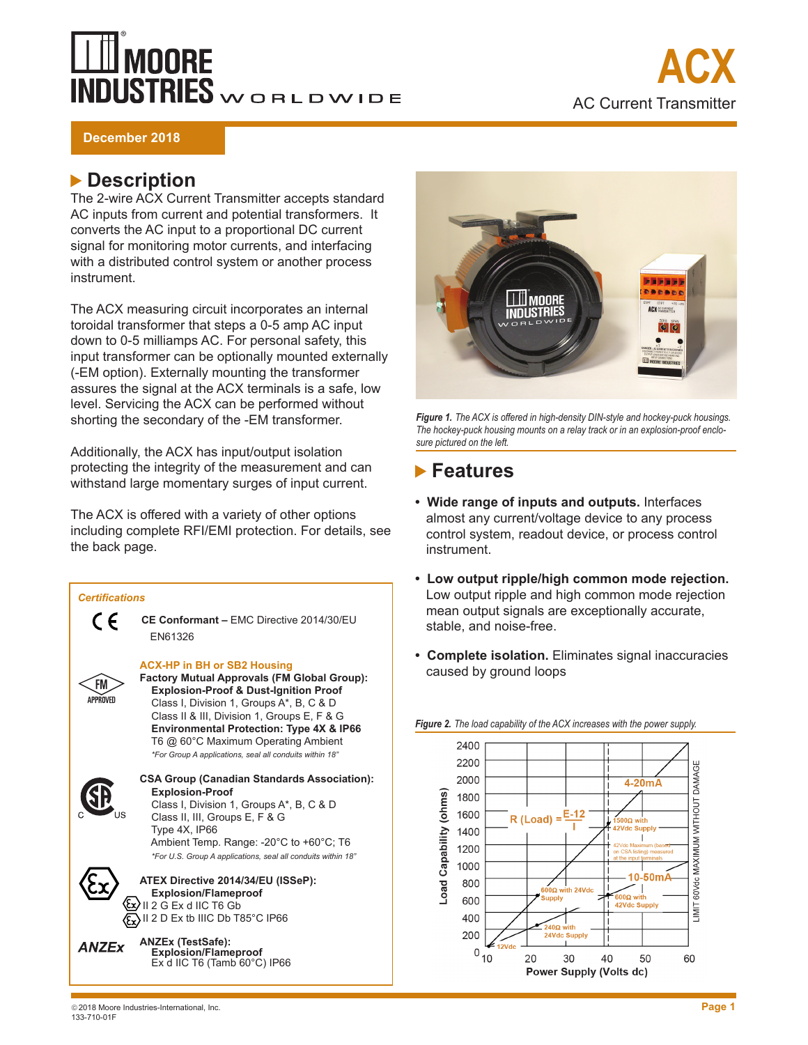## **MOORE NDUSTRIES** WORLDWIDE



**December 2018**

## **Description**

The 2-wire ACX Current Transmitter accepts standard AC inputs from current and potential transformers. It converts the AC input to a proportional DC current signal for monitoring motor currents, and interfacing with a distributed control system or another process instrument.

The ACX measuring circuit incorporates an internal toroidal transformer that steps a 0-5 amp AC input down to 0-5 milliamps AC. For personal safety, this input transformer can be optionally mounted externally (-EM option). Externally mounting the transformer assures the signal at the ACX terminals is a safe, low level. Servicing the ACX can be performed without shorting the secondary of the -EM transformer.

Additionally, the ACX has input/output isolation protecting the integrity of the measurement and can withstand large momentary surges of input current.

The ACX is offered with a variety of other options including complete RFI/EMI protection. For details, see the back page.





*Figure 1. The ACX is offered in high-density DIN-style and hockey-puck housings. The hockey-puck housing mounts on a relay track or in an explosion-proof enclosure pictured on the left.*

## **Features**

- **• Wide range of inputs and outputs.** Interfaces almost any current/voltage device to any process control system, readout device, or process control instrument.
- **• Low output ripple/high common mode rejection.**  Low output ripple and high common mode rejection mean output signals are exceptionally accurate, stable, and noise-free.
- **• Complete isolation.** Eliminates signal inaccuracies caused by ground loops



#### *Figure 2. The load capability of the ACX increases with the power supply.*